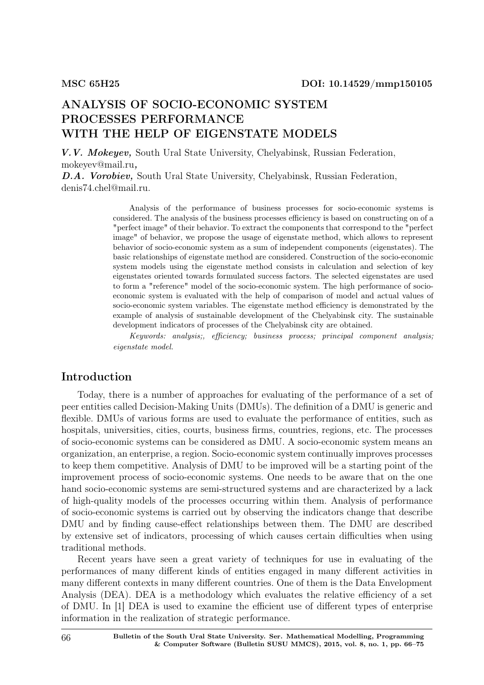# ANALYSIS OF SOCIO-ECONOMIC SYSTEM PROCESSES PERFORMANCE WITH THE HELP OF EIGENSTATE MODELS

V.V. Mokeyev, South Ural State University, Chelyabinsk, Russian Federation, mokeyev@mail.ru,

D.A. Vorobiev, South Ural State University, Chelyabinsk, Russian Federation, denis74.chel@mail.ru.

> Analysis of the performance of business processes for socio-economic systems is considered. The analysis of the business processes efficiency is based on constructing on of a "perfect image" of their behavior. To extract the components that correspond to the "perfect image" of behavior, we propose the usage of eigenstate method, which allows to represent behavior of socio-economic system as a sum of independent components (eigenstates). The basic relationships of eigenstate method are considered. Construction of the socio-economic system models using the eigenstate method consists in calculation and selection of key eigenstates oriented towards formulated success factors. The selected eigenstates are used to form a "reference" model of the socio-economic system. The high performance of socioeconomic system is evaluated with the help of comparison of model and actual values of socio-economic system variables. The eigenstate method efficiency is demonstrated by the example of analysis of sustainable development of the Chelyabinsk city. The sustainable development indicators of processes of the Chelyabinsk city are obtained.

> Keywords: analysis;, efficiency; business process; principal component analysis; eigenstate model.

## Introduction

Today, there is a number of approaches for evaluating of the performance of a set of peer entities called Decision-Making Units (DMUs). The definition of a DMU is generic and flexible. DMUs of various forms are used to evaluate the performance of entities, such as hospitals, universities, cities, courts, business firms, countries, regions, etc. The processes of socio-economic systems can be considered as DMU. A socio-economic system means an organization, an enterprise, a region. Socio-economic system continually improves processes to keep them competitive. Analysis of DMU to be improved will be a starting point of the improvement process of socio-economic systems. One needs to be aware that on the one hand socio-economic systems are semi-structured systems and are characterized by a lack of high-quality models of the processes occurring within them. Analysis of performance of socio-economic systems is carried out by observing the indicators change that describe DMU and by finding cause-effect relationships between them. The DMU are described by extensive set of indicators, processing of which causes certain difficulties when using traditional methods.

Recent years have seen a great variety of techniques for use in evaluating of the performances of many different kinds of entities engaged in many different activities in many different contexts in many different countries. One of them is the Data Envelopment Analysis (DEA). DEA is a methodology which evaluates the relative efficiency of a set of DMU. In [1] DEA is used to examine the efficient use of different types of enterprise information in the realization of strategic performance.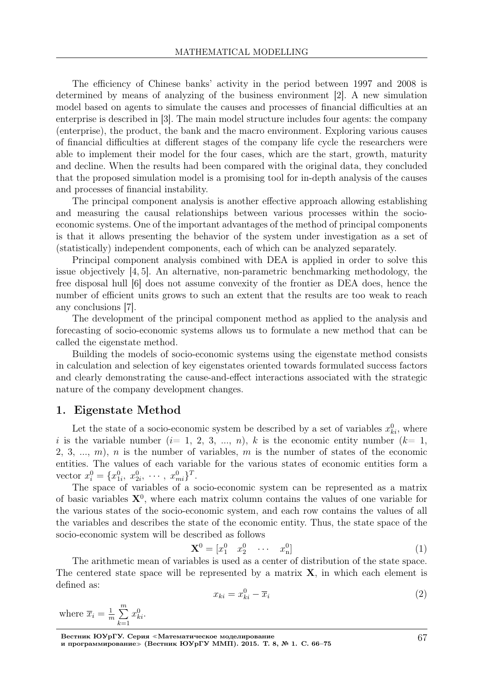The efficiency of Chinese banks' activity in the period between 1997 and 2008 is determined by means of analyzing of the business environment [2]. A new simulation model based on agents to simulate the causes and processes of financial difficulties at an enterprise is described in [3]. The main model structure includes four agents: the company (enterprise), the product, the bank and the macro environment. Exploring various causes of financial difficulties at different stages of the company life cycle the researchers were able to implement their model for the four cases, which are the start, growth, maturity and decline. When the results had been compared with the original data, they concluded that the proposed simulation model is a promising tool for in-depth analysis of the causes and processes of financial instability.

The principal component analysis is another effective approach allowing establishing and measuring the causal relationships between various processes within the socioeconomic systems. One of the important advantages of the method of principal components is that it allows presenting the behavior of the system under investigation as a set of (statistically) independent components, each of which can be analyzed separately.

Principal component analysis combined with DEA is applied in order to solve this issue objectively [4, 5]. An alternative, non-parametric benchmarking methodology, the free disposal hull [6] does not assume convexity of the frontier as DEA does, hence the number of efficient units grows to such an extent that the results are too weak to reach any conclusions [7].

The development of the principal component method as applied to the analysis and forecasting of socio-economic systems allows us to formulate a new method that can be called the eigenstate method.

Building the models of socio-economic systems using the eigenstate method consists in calculation and selection of key eigenstates oriented towards formulated success factors and clearly demonstrating the cause-and-effect interactions associated with the strategic nature of the company development changes.

### 1. Eigenstate Method

Let the state of a socio-economic system be described by a set of variables  $x_{ki}^0$ , where i is the variable number  $(i= 1, 2, 3, ..., n)$ , k is the economic entity number  $(k= 1,$ 2, 3, ..., m), n is the number of variables, m is the number of states of the economic entities. The values of each variable for the various states of economic entities form a vector  $x_i^0 = \{x_{1i}^0, x_{2i}^0, \cdots, x_{mi}^0\}^T$ .

The space of variables of a socio-economic system can be represented as a matrix of basic variables  $X^0$ , where each matrix column contains the values of one variable for the various states of the socio-economic system, and each row contains the values of all the variables and describes the state of the economic entity. Thus, the state space of the socio-economic system will be described as follows

$$
\mathbf{X}^0 = \begin{bmatrix} x_1^0 & x_2^0 & \cdots & x_n^0 \end{bmatrix} \tag{1}
$$

The arithmetic mean of variables is used as a center of distribution of the state space. The centered state space will be represented by a matrix  $X$ , in which each element is defined as:

$$
x_{ki} = x_{ki}^0 - \overline{x}_i \tag{2}
$$

where  $\overline{x}_i = \frac{1}{n}$  $\frac{1}{m}$  $\sum_{n=1}^{m}$  $\overline{k=1}$  $x_{ki}^0$ .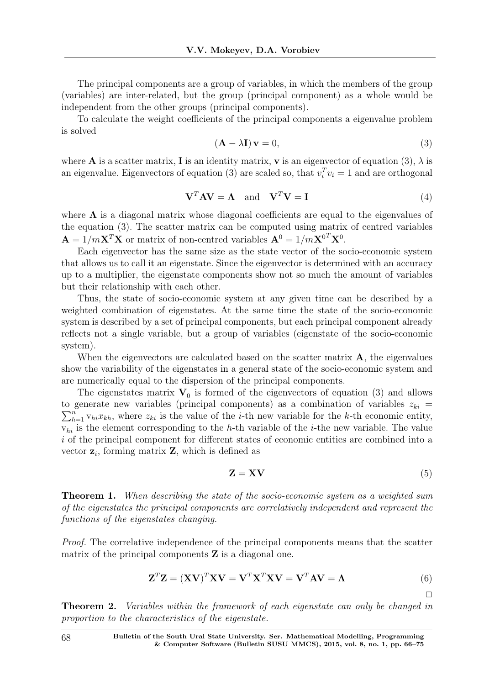The principal components are a group of variables, in which the members of the group (variables) are inter-related, but the group (principal component) as a whole would be independent from the other groups (principal components).

To calculate the weight coefficients of the principal components a eigenvalue problem is solved

$$
(\mathbf{A} - \lambda \mathbf{I}) \mathbf{v} = 0,\tag{3}
$$

where **A** is a scatter matrix, **I** is an identity matrix, **v** is an eigenvector of equation (3),  $\lambda$  is an eigenvalue. Eigenvectors of equation (3) are scaled so, that  $v_i^T v_i = 1$  and are orthogonal

$$
\mathbf{V}^T \mathbf{A} \mathbf{V} = \mathbf{\Lambda} \quad \text{and} \quad \mathbf{V}^T \mathbf{V} = \mathbf{I} \tag{4}
$$

where  $\Lambda$  is a diagonal matrix whose diagonal coefficients are equal to the eigenvalues of the equation (3). The scatter matrix can be computed using matrix of centred variables  $\mathbf{A} = 1/m\mathbf{X}^T\mathbf{X}$  or matrix of non-centred variables  $\mathbf{A}^0 = 1/m\mathbf{X}^{0T}\mathbf{X}^0$ .

Each eigenvector has the same size as the state vector of the socio-economic system that allows us to call it an eigenstate. Since the eigenvector is determined with an accuracy up to a multiplier, the eigenstate components show not so much the amount of variables but their relationship with each other.

Thus, the state of socio-economic system at any given time can be described by a weighted combination of eigenstates. At the same time the state of the socio-economic system is described by a set of principal components, but each principal component already reflects not a single variable, but a group of variables (eigenstate of the socio-economic system).

When the eigenvectors are calculated based on the scatter matrix  $\bf{A}$ , the eigenvalues show the variability of the eigenstates in a general state of the socio-economic system and are numerically equal to the dispersion of the principal components.

The eigenstates matrix  $V_0$  is formed of the eigenvectors of equation (3) and allows  $\sum_{h=1}^{n} v_{hi} x_{kh}$ , where  $z_{ki}$  is the value of the *i*-th new variable for the *k*-th economic entity, to generate new variables (principal components) as a combination of variables  $z_{ki}$  =  $v_{hi}$  is the element corresponding to the h-th variable of the *i*-the new variable. The value i of the principal component for different states of economic entities are combined into a vector  $z_i$ , forming matrix  $Z$ , which is defined as

$$
\mathbf{Z} = \mathbf{X}\mathbf{V} \tag{5}
$$

 $\Box$ 

Theorem 1. When describing the state of the socio-economic system as a weighted sum of the eigenstates the principal components are correlatively independent and represent the functions of the eigenstates changing.

Proof. The correlative independence of the principal components means that the scatter matrix of the principal components  $Z$  is a diagonal one.

$$
\mathbf{Z}^T \mathbf{Z} = (\mathbf{X} \mathbf{V})^T \mathbf{X} \mathbf{V} = \mathbf{V}^T \mathbf{X}^T \mathbf{X} \mathbf{V} = \mathbf{V}^T \mathbf{A} \mathbf{V} = \mathbf{\Lambda}
$$
 (6)

Theorem 2. Variables within the framework of each eigenstate can only be changed in proportion to the characteristics of the eigenstate.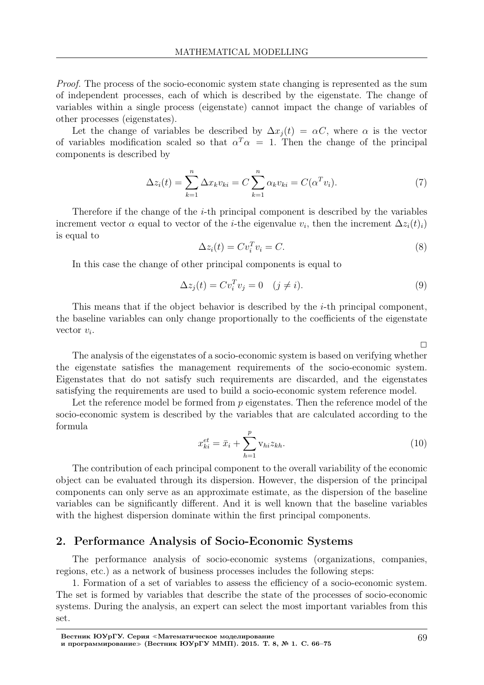Proof. The process of the socio-economic system state changing is represented as the sum of independent processes, each of which is described by the eigenstate. The change of variables within a single process (eigenstate) cannot impact the change of variables of other processes (eigenstates).

Let the change of variables be described by  $\Delta x_i(t) = \alpha C$ , where  $\alpha$  is the vector of variables modification scaled so that  $\alpha^T \alpha = 1$ . Then the change of the principal components is described by

$$
\Delta z_i(t) = \sum_{k=1}^n \Delta x_k v_{ki} = C \sum_{k=1}^n \alpha_k v_{ki} = C(\alpha^T v_i). \tag{7}
$$

Therefore if the change of the i-th principal component is described by the variables increment vector  $\alpha$  equal to vector of the *i*-the eigenvalue  $v_i$ , then the increment  $\Delta z_i(t)_i$ is equal to

$$
\Delta z_i(t) = C v_i^T v_i = C. \tag{8}
$$

In this case the change of other principal components is equal to

$$
\Delta z_j(t) = C v_i^T v_j = 0 \quad (j \neq i). \tag{9}
$$

This means that if the object behavior is described by the i-th principal component, the baseline variables can only change proportionally to the coefficients of the eigenstate vector  $v_i$ .

The analysis of the eigenstates of a socio-economic system is based on verifying whether the eigenstate satisfies the management requirements of the socio-economic system. Eigenstates that do not satisfy such requirements are discarded, and the eigenstates satisfying the requirements are used to build a socio-economic system reference model.

Let the reference model be formed from  $p$  eigenstates. Then the reference model of the socio-economic system is described by the variables that are calculated according to the formula p

$$
x_{ki}^{et} = \bar{x}_i + \sum_{h=1}^{p} \mathbf{v}_{hi} z_{kh}.
$$
\n(10)

The contribution of each principal component to the overall variability of the economic object can be evaluated through its dispersion. However, the dispersion of the principal components can only serve as an approximate estimate, as the dispersion of the baseline variables can be significantly different. And it is well known that the baseline variables with the highest dispersion dominate within the first principal components.

### 2. Performance Analysis of Socio-Economic Systems

The performance analysis of socio-economic systems (organizations, companies, regions, etc.) as a network of business processes includes the following steps:

1. Formation of a set of variables to assess the efficiency of a socio-economic system. The set is formed by variables that describe the state of the processes of socio-economic systems. During the analysis, an expert can select the most important variables from this set.

 $\Box$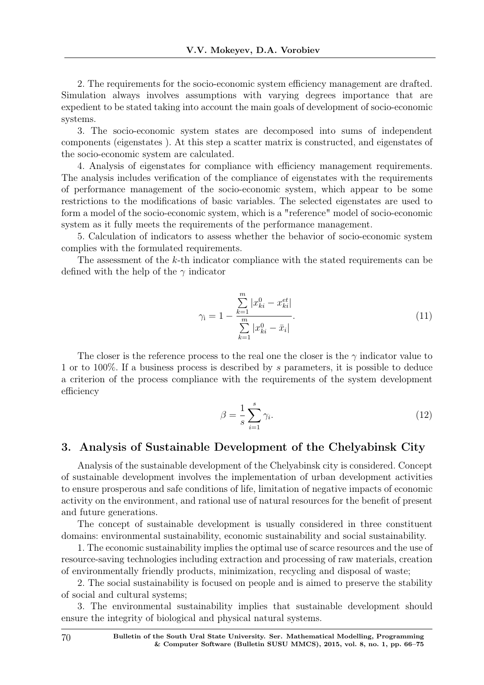2. The requirements for the socio-economic system efficiency management are drafted. Simulation always involves assumptions with varying degrees importance that are expedient to be stated taking into account the main goals of development of socio-economic systems.

3. The socio-economic system states are decomposed into sums of independent components (eigenstates ). At this step a scatter matrix is constructed, and eigenstates of the socio-economic system are calculated.

4. Analysis of eigenstates for compliance with efficiency management requirements. The analysis includes verification of the compliance of eigenstates with the requirements of performance management of the socio-economic system, which appear to be some restrictions to the modifications of basic variables. The selected eigenstates are used to form a model of the socio-economic system, which is a "reference" model of socio-economic system as it fully meets the requirements of the performance management.

5. Calculation of indicators to assess whether the behavior of socio-economic system complies with the formulated requirements.

The assessment of the k-th indicator compliance with the stated requirements can be defined with the help of the  $\gamma$  indicator

$$
\gamma_{i} = 1 - \frac{\sum_{k=1}^{m} |x_{ki}^{0} - x_{ki}^{et}|}{\sum_{k=1}^{m} |x_{ki}^{0} - \bar{x}_{i}|}.
$$
\n(11)

The closer is the reference process to the real one the closer is the  $\gamma$  indicator value to 1 or to 100%. If a business process is described by s parameters, it is possible to deduce a criterion of the process compliance with the requirements of the system development efficiency

$$
\beta = \frac{1}{s} \sum_{i=1}^{s} \gamma_i.
$$
\n(12)

### 3. Analysis of Sustainable Development of the Chelyabinsk City

Analysis of the sustainable development of the Chelyabinsk city is considered. Concept of sustainable development involves the implementation of urban development activities to ensure prosperous and safe conditions of life, limitation of negative impacts of economic activity on the environment, and rational use of natural resources for the benefit of present and future generations.

The concept of sustainable development is usually considered in three constituent domains: environmental sustainability, economic sustainability and social sustainability.

1. The economic sustainability implies the optimal use of scarce resources and the use of resource-saving technologies including extraction and processing of raw materials, creation of environmentally friendly products, minimization, recycling and disposal of waste;

2. The social sustainability is focused on people and is aimed to preserve the stability of social and cultural systems;

3. The environmental sustainability implies that sustainable development should ensure the integrity of biological and physical natural systems.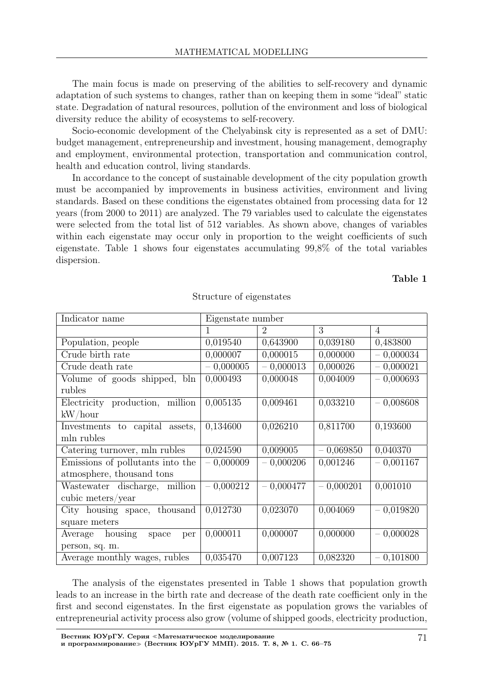The main focus is made on preserving of the abilities to self-recovery and dynamic adaptation of such systems to changes, rather than on keeping them in some "ideal" static state. Degradation of natural resources, pollution of the environment and loss of biological diversity reduce the ability of ecosystems to self-recovery.

Socio-economic development of the Chelyabinsk city is represented as a set of DMU: budget management, entrepreneurship and investment, housing management, demography and employment, environmental protection, transportation and communication control, health and education control, living standards.

In accordance to the concept of sustainable development of the city population growth must be accompanied by improvements in business activities, environment and living standards. Based on these conditions the eigenstates obtained from processing data for 12 years (from 2000 to 2011) are analyzed. The 79 variables used to calculate the eigenstates were selected from the total list of 512 variables. As shown above, changes of variables within each eigenstate may occur only in proportion to the weight coefficients of such eigenstate. Table 1 shows four eigenstates accumulating 99,8% of the total variables dispersion.

#### Table 1

| Indicator name                     | Eigenstate number |                |             |                |
|------------------------------------|-------------------|----------------|-------------|----------------|
|                                    | 1                 | $\overline{2}$ | 3           | $\overline{4}$ |
| Population, people                 | 0,019540          | 0,643900       | 0,039180    | 0,483800       |
| Crude birth rate                   | 0,000007          | 0,000015       | 0,000000    | $-0,000034$    |
| Crude death rate                   | $-0,000005$       | $-0,000013$    | 0,000026    | $-0,000021$    |
| Volume of goods shipped, bln       | 0,000493          | 0,000048       | 0,004009    | $-0,000693$    |
| rubles                             |                   |                |             |                |
| Electricity production, million    | 0,005135          | 0,009461       | 0,033210    | $-0,008608$    |
| kW/hour                            |                   |                |             |                |
| Investments to capital<br>assets,  | 0,134600          | 0,026210       | 0,811700    | 0,193600       |
| mln rubles                         |                   |                |             |                |
| Catering turnover, mln rubles      | 0,024590          | 0,009005       | $-0,069850$ | 0,040370       |
| Emissions of pollutants into the   | $-0,000009$       | $-0,000206$    | 0,001246    | $-0,001167$    |
| atmosphere, thousand tons          |                   |                |             |                |
| Wastewater discharge, million      | $-0,000212$       | $-0,000477$    | $-0,000201$ | 0,001010       |
| cubic meters/year                  |                   |                |             |                |
| City housing space, thousand       | 0,012730          | 0,023070       | 0,004069    | $-0,019820$    |
| square meters                      |                   |                |             |                |
| housing<br>Average<br>space<br>per | 0,000011          | 0,000007       | 0,000000    | $-0,000028$    |
| person, sq. m.                     |                   |                |             |                |
| Average monthly wages, rubles      | 0,035470          | 0,007123       | 0,082320    | $-0,101800$    |

Structure of eigenstates

The analysis of the eigenstates presented in Table 1 shows that population growth leads to an increase in the birth rate and decrease of the death rate coefficient only in the first and second eigenstates. In the first eigenstate as population grows the variables of entrepreneurial activity process also grow (volume of shipped goods, electricity production,

Вестник ЮУрГУ. Серия <sup>≪</sup>Математическое моделирование и программирование» (Вестник ЮУрГУ ММП). 2015. Т. 8, № 1. С. 66-75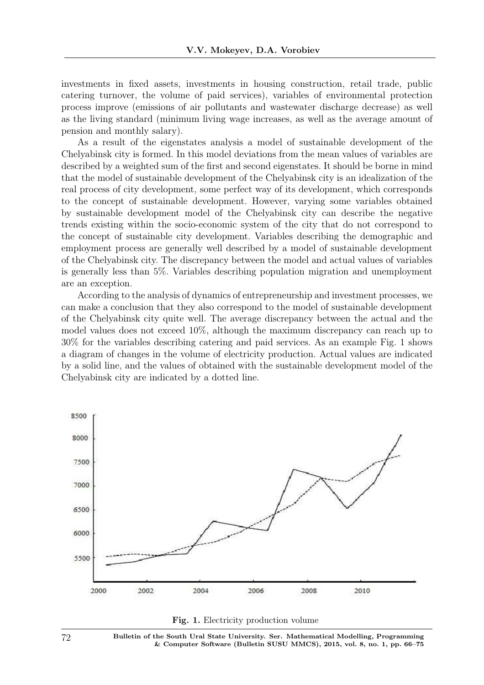investments in fixed assets, investments in housing construction, retail trade, public catering turnover, the volume of paid services), variables of environmental protection process improve (emissions of air pollutants and wastewater discharge decrease) as well as the living standard (minimum living wage increases, as well as the average amount of pension and monthly salary).

As a result of the eigenstates analysis a model of sustainable development of the Chelyabinsk city is formed. In this model deviations from the mean values of variables are described by a weighted sum of the first and second eigenstates. It should be borne in mind that the model of sustainable development of the Chelyabinsk city is an idealization of the real process of city development, some perfect way of its development, which corresponds to the concept of sustainable development. However, varying some variables obtained by sustainable development model of the Chelyabinsk city can describe the negative trends existing within the socio-economic system of the city that do not correspond to the concept of sustainable city development. Variables describing the demographic and employment process are generally well described by a model of sustainable development of the Chelyabinsk city. The discrepancy between the model and actual values of variables is generally less than 5%. Variables describing population migration and unemployment are an exception.

According to the analysis of dynamics of entrepreneurship and investment processes, we can make a conclusion that they also correspond to the model of sustainable development of the Chelyabinsk city quite well. The average discrepancy between the actual and the model values does not exceed 10%, although the maximum discrepancy can reach up to 30% for the variables describing catering and paid services. As an example Fig. 1 shows a diagram of changes in the volume of electricity production. Actual values are indicated by a solid line, and the values of obtained with the sustainable development model of the Chelyabinsk city are indicated by a dotted line.





72 Bulletin of the South Ural State University. Ser. Mathematical Modelling, Programming & Computer Software (Bulletin SUSU MMCS), 2015, vol. 8, no. 1, pp. 66–75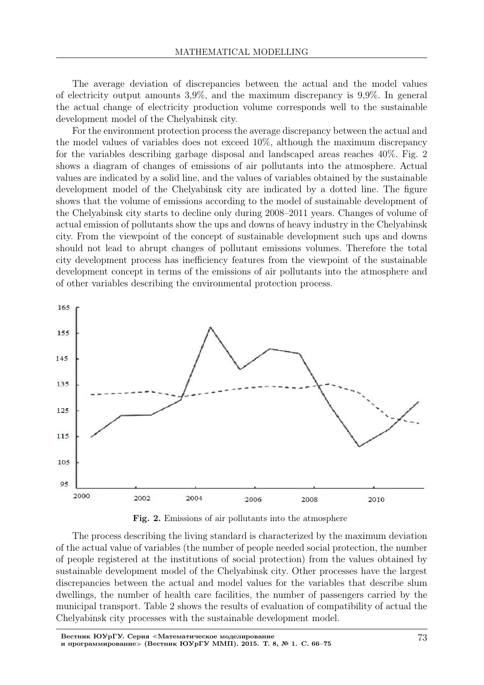The average deviation of discrepancies between the actual and the model values of electricity output amounts 3,9%, and the maximum discrepancy is 9,9%. In general the actual change of electricity production volume corresponds well to the sustainable development model of the Chelyabinsk city.

For the environment protection process the average discrepancy between the actual and the model values of variables does not exceed 10%, although the maximum discrepancy for the variables describing garbage disposal and landscaped areas reaches 40%. Fig. 2 shows a diagram of changes of emissions of air pollutants into the atmosphere. Actual values are indicated by a solid line, and the values of variables obtained by the sustainable development model of the Chelyabinsk city are indicated by a dotted line. The figure shows that the volume of emissions according to the model of sustainable development of the Chelyabinsk city starts to decline only during 2008–2011 years. Changes of volume of actual emission of pollutants show the ups and downs of heavy industry in the Chelyabinsk city. From the viewpoint of the concept of sustainable development such ups and downs should not lead to abrupt changes of pollutant emissions volumes. Therefore the total city development process has inefficiency features from the viewpoint of the sustainable development concept in terms of the emissions of air pollutants into the atmosphere and of other variables describing the environmental protection process.



Fig. 2. Emissions of air pollutants into the atmosphere

The process describing the living standard is characterized by the maximum deviation of the actual value of variables (the number of people needed social protection, the number of people registered at the institutions of social protection) from the values obtained by sustainable development model of the Chelyabinsk city. Other processes have the largest discrepancies between the actual and model values for the variables that describe slum dwellings, the number of health care facilities, the number of passengers carried by the municipal transport. Table 2 shows the results of evaluation of compatibility of actual the Chelyabinsk city processes with the sustainable development model.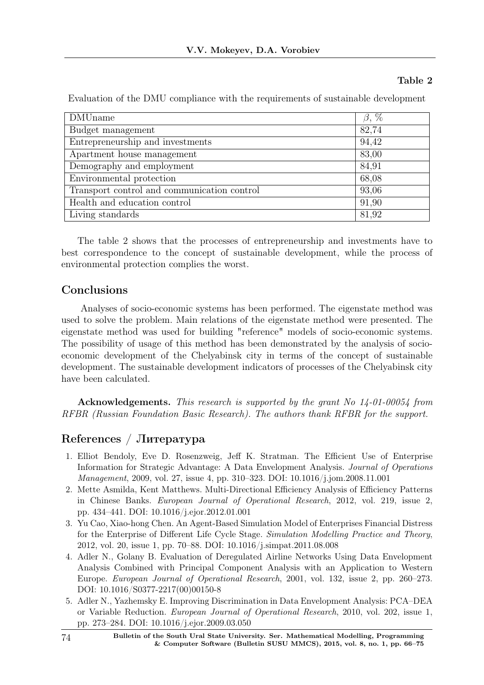### Table 2

| <b>DMU</b> name                             | $\beta$ , $\%$ |
|---------------------------------------------|----------------|
| Budget management                           | 82,74          |
| Entrepreneurship and investments            | 94,42          |
| Apartment house management                  | 83,00          |
| Demography and employment                   | 84,91          |
| Environmental protection                    | 68,08          |
| Transport control and communication control | 93,06          |
| Health and education control                | 91,90          |
| Living standards                            | 81,92          |

Evaluation of the DMU compliance with the requirements of sustainable development

The table 2 shows that the processes of entrepreneurship and investments have to best correspondence to the concept of sustainable development, while the process of environmental protection complies the worst.

# Conclusions

Analyses of socio-economic systems has been performed. The eigenstate method was used to solve the problem. Main relations of the eigenstate method were presented. The eigenstate method was used for building "reference" models of socio-economic systems. The possibility of usage of this method has been demonstrated by the analysis of socioeconomic development of the Chelyabinsk city in terms of the concept of sustainable development. The sustainable development indicators of processes of the Chelyabinsk city have been calculated.

Acknowledgements. This research is supported by the grant No 14-01-00054 from RFBR (Russian Foundation Basic Research). The authors thank RFBR for the support.

# References / Литература

- 1. Elliot Bendoly, Eve D. Rosenzweig, Jeff K. Stratman. The Efficient Use of Enterprise Information for Strategic Advantage: A Data Envelopment Analysis. Journal of Operations Management, 2009, vol. 27, issue 4, pp. 310–323. DOI: 10.1016/j.jom.2008.11.001
- 2. Mette Asmilda, Kent Matthews. Multi-Directional Efficiency Analysis of Efficiency Patterns in Chinese Banks. European Journal of Operational Research, 2012, vol. 219, issue 2, pp. 434–441. DOI: 10.1016/j.ejor.2012.01.001
- 3. Yu Cao, Xiao-hong Chen. An Agent-Based Simulation Model of Enterprises Financial Distress for the Enterprise of Different Life Cycle Stage. Simulation Modelling Practice and Theory, 2012, vol. 20, issue 1, pp. 70–88. DOI: 10.1016/j.simpat.2011.08.008
- 4. Adler N., Golany B. Evaluation of Deregulated Airline Networks Using Data Envelopment Analysis Combined with Principal Component Analysis with an Application to Western Europe. European Journal of Operational Research, 2001, vol. 132, issue 2, pp. 260–273. DOI: 10.1016/S0377-2217(00)00150-8
- 5. Adler N., Yazhemsky E. Improving Discrimination in Data Envelopment Analysis: PCA–DEA or Variable Reduction. European Journal of Operational Research, 2010, vol. 202, issue 1, pp. 273–284. DOI: 10.1016/j.ejor.2009.03.050